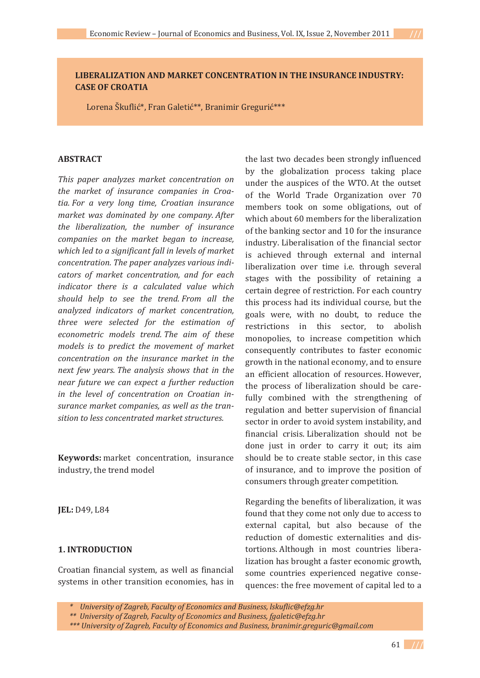### **LIBERALIZATION AND MARKET CONCENTRATION IN THE INSURANCE INDUSTRY: CASE OF CROATIA**

Lorena Škuflić\*, Fran Galetić\*\*, Branimir Gregurić\*\*\*

#### **ABSTRACT**

*This paper analyzes market concentration on the market of insurance companies in CroaǦ tia. For a very long time, Croatian insurance market was dominated by one company. After the liberalization, the number of insurance companies on the market began to increase, which led to a significant fall in levels of market concentration. The paper analyzes various indiǦ cators of market concentration, and for each indicator there is a calculated value which should help to see the trend. From all the analyzed indicators of market concentration, three were selected for the estimation of econometric models trend. The aim of these models is to predict the movement of market concentration on the insurance market in the next few years. The analysis shows that in the near future we can expect a further reduction in the level of concentration on Croatian inǦ surance market companies, as well as the tranǦ sition to less concentrated market structures.*

**Keywords:** market concentration, insurance industry, the trend model

**IEL:** D49, L84

### **1. INTRODUCTION**

Croatian financial system, as well as financial systems in other transition economies, has in the last two decades been strongly influenced by the globalization process taking place under the auspices of the WTO. At the outset of the World Trade Organization over 70 members took on some obligations, out of which about 60 members for the liberalization of the banking sector and 10 for the insurance industry. Liberalisation of the financial sector is achieved through external and internal liberalization over time i.e. through several stages with the possibility of retaining a certain degree of restriction. For each country this process had its individual course, but the goals were, with no doubt, to reduce the restrictions in this sector, to abolish monopolies, to increase competition which consequently contributes to faster economic growth in the national economy, and to ensure an efficient allocation of resources. However, the process of liberalization should be carefully combined with the strengthening of regulation and better supervision of financial sector in order to avoid system instability, and financial crisis. Liberalization should not be done just in order to carry it out; its aim should be to create stable sector, in this case of insurance, and to improve the position of consumers through greater competition.

Regarding the benefits of liberalization, it was found that they come not only due to access to external capital, but also because of the reduction of domestic externalities and distortions. Although in most countries liberalization has brought a faster economic growth, some countries experienced negative consequences: the free movement of capital led to a

*<sup>\*</sup>University of Zagreb, Faculty of Economics and Business, lskuflic@efzg.hr*

*<sup>\*\*</sup>University of Zagreb, Faculty of Economics and Business, fgaletic@efzg.hr*

*<sup>\*\*\*</sup> University of Zagreb, Faculty of Economics and Business, branimir.greguric@gmail.com*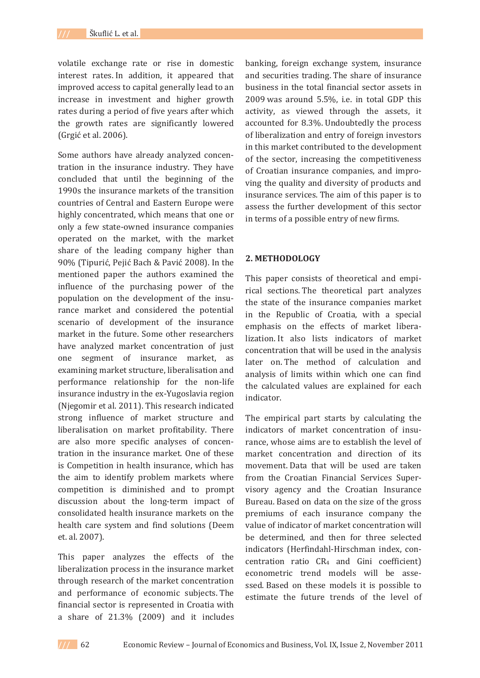volatile exchange rate or rise in domestic interest rates. In addition, it appeared that improved access to capital generally lead to an increase in investment and higher growth rates during a period of five years after which the growth rates are significantly lowered (Grgić et al. 2006).

Some authors have already analyzed concentration in the insurance industry. They have concluded that until the beginning of the 1990s the insurance markets of the transition countries of Central and Eastern Europe were highly concentrated, which means that one or only a few state-owned insurance companies operated on the market, with the market share of the leading company higher than 90% (Tipurić, Pejić Bach & Pavić 2008). In the mentioned paper the authors examined the influence of the purchasing power of the population on the development of the insurance market and considered the potential scenario of development of the insurance market in the future. Some other researchers have analyzed market concentration of just one segment of insurance market, as examining market structure, liberalisation and performance relationship for the non-life insurance industry in the ex-Yugoslavia region (Njegomir et al. 2011). This research indicated strong influence of market structure and liberalisation on market profitability. There are also more specific analyses of concentration in the insurance market. One of these is Competition in health insurance, which has the aim to identify problem markets where competition is diminished and to prompt discussion about the long-term impact of consolidated health insurance markets on the health care system and find solutions (Deem et. al. 2007).

This paper analyzes the effects of the liberalization process in the insurance market through research of the market concentration and performance of economic subjects. The financial sector is represented in Croatia with a share of 21.3% (2009) and it includes

banking, foreign exchange system, insurance and securities trading. The share of insurance business in the total financial sector assets in 2009 was around 5.5%, i.e. in total GDP this activity, as viewed through the assets, it accounted for 8.3%. Undoubtedly the process of liberalization and entry of foreign investors in this market contributed to the development of the sector, increasing the competitiveness of Croatian insurance companies, and improving the quality and diversity of products and insurance services. The aim of this paper is to assess the further development of this sector in terms of a possible entry of new firms.

#### **2. METHODOLOGY**

This paper consists of theoretical and empirical sections. The theoretical part analyzes the state of the insurance companies market in the Republic of Croatia, with a special emphasis on the effects of market liberalization. It also lists indicators of market concentration that will be used in the analysis later on The method of calculation and analysis of limits within which one can find the calculated values are explained for each indicator.

The empirical part starts by calculating the indicators of market concentration of insurance, whose aims are to establish the level of market concentration and direction of its movement. Data that will be used are taken from the Croatian Financial Services Supervisory agency and the Croatian Insurance Bureau. Based on data on the size of the gross premiums of each insurance company the value of indicator of market concentration will be determined, and then for three selected indicators (Herfindahl-Hirschman index, concentration ratio CR<sub>4</sub> and Gini coefficient) econometric trend models will be assessed. Based on these models it is possible to estimate the future trends of the level of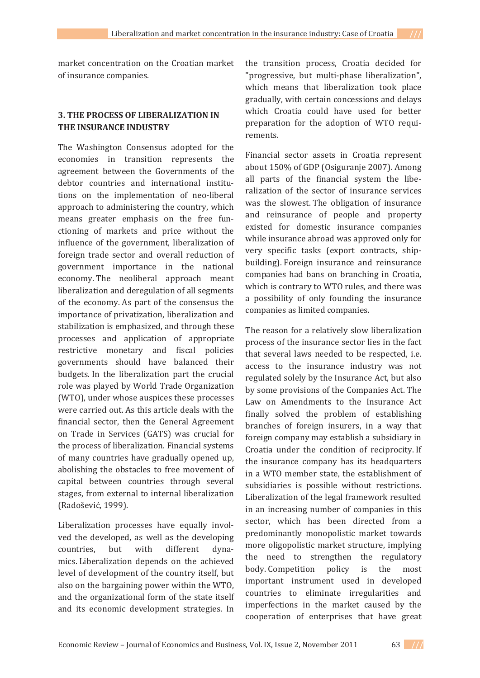market concentration on the Croatian market of insurance companies.

# **3. THE PROCESS OF LIBERALIZATION IN THE INSURANCE INDUSTRY**

The Washington Consensus adopted for the economies in transition represents the agreement between the Governments of the debtor countries and international institutions on the implementation of neo-liberal approach to administering the country, which means greater emphasis on the free functioning of markets and price without the influence of the government, liberalization of foreign trade sector and overall reduction of government importance in the national economy. The neoliberal approach meant liberalization and deregulation of all segments of the economy. As part of the consensus the importance of privatization, liberalization and stabilization is emphasized, and through these processes and application of appropriate restrictive monetary and fiscal policies governments should have balanced their budgets. In the liberalization part the crucial role was played by World Trade Organization (WTO), under whose auspices these processes were carried out. As this article deals with the financial sector, then the General Agreement on Trade in Services (GATS) was crucial for the process of liberalization. Financial systems of many countries have gradually opened up, abolishing the obstacles to free movement of capital between countries through several stages, from external to internal liberalization (Radošević, 1999).

Liberalization processes have equally involved the developed, as well as the developing countries, but with different dynamics. Liberalization depends on the achieved level of development of the country itself, but also on the bargaining power within the WTO, and the organizational form of the state itself and its economic development strategies. In

the transition process, Croatia decided for "progressive, but multi-phase liberalization", which means that liberalization took place gradually, with certain concessions and delays which Croatia could have used for better preparation for the adoption of WTO requirements.

Financial sector assets in Croatia represent about 150% of GDP (Osiguranje 2007). Among all parts of the financial system the liberalization of the sector of insurance services was the slowest. The obligation of insurance and reinsurance of people and property existed for domestic insurance companies while insurance abroad was approved only for very specific tasks (export contracts, shipbuilding). Foreign insurance and reinsurance companies had bans on branching in Croatia, which is contrary to WTO rules, and there was a possibility of only founding the insurance companies as limited companies.

The reason for a relatively slow liberalization process of the insurance sector lies in the fact that several laws needed to be respected, i.e. access to the insurance industry was not regulated solely by the Insurance Act, but also by some provisions of the Companies Act. The Law on Amendments to the Insurance Act finally solved the problem of establishing branches of foreign insurers, in a way that foreign company may establish a subsidiary in Croatia under the condition of reciprocity. If the insurance company has its headquarters in a WTO member state, the establishment of subsidiaries is possible without restrictions. Liberalization of the legal framework resulted in an increasing number of companies in this sector, which has been directed from a predominantly monopolistic market towards more oligopolistic market structure, implying the need to strengthen the regulatory body. Competition policy is the most important instrument used in developed countries to eliminate irregularities and imperfections in the market caused by the cooperation of enterprises that have great

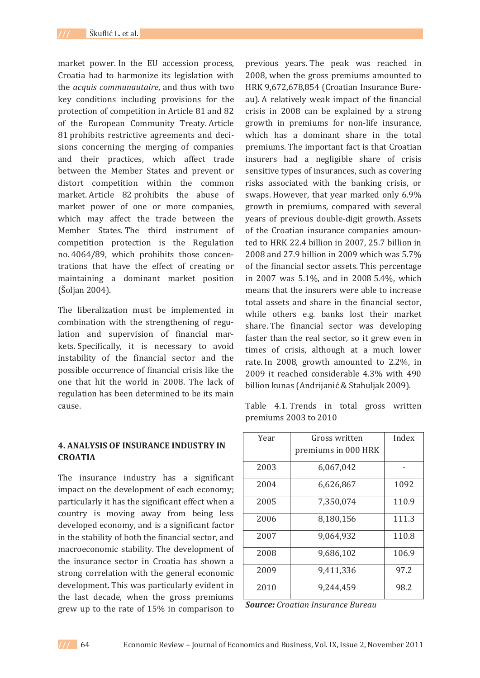market power. In the EU accession process, Croatia had to harmonize its legislation with *the acquis communautaire*, and thus with two key conditions including provisions for the protection of competition in Article 81 and 82 of the European Community Treaty. Article 81 prohibits restrictive agreements and decisions concerning the merging of companies and their practices, which affect trade between the Member States and prevent or distort competition within the common market. Article 82 prohibits the abuse of market power of one or more companies, which may affect the trade between the Member States. The third instrument of competition protection is the Regulation no. 4064/89, which prohibits those concentrations that have the effect of creating or maintaining a dominant market position  $(Šoljan 2004).$ 

The liberalization must be implemented in combination with the strengthening of regulation and supervision of financial markets. Specifically, it is necessary to avoid instability of the financial sector and the possible occurrence of financial crisis like the one that hit the world in 2008. The lack of regulation has been determined to be its main cause.

# **4. ANALYSIS OF INSURANCE INDUSTRY IN CROATIA**

The insurance industry has a significant impact on the development of each economy; particularly it has the significant effect when a country is moving away from being less developed economy, and is a significant factor in the stability of both the financial sector, and macroeconomic stability. The development of the insurance sector in Croatia has shown a strong correlation with the general economic development. This was particularly evident in the last decade, when the gross premiums grew up to the rate of 15% in comparison to

previous years. The peak was reached in 2008, when the gross premiums amounted to HRK 9,672,678,854 (Croatian Insurance Bureau). A relatively weak impact of the financial crisis in 2008 can be explained by a strong growth in premiums for non-life insurance, which has a dominant share in the total premiums. The important fact is that Croatian insurers had a negligible share of crisis sensitive types of insurances, such as covering risks associated with the banking crisis, or swaps. However, that year marked only 6.9% growth in premiums, compared with several years of previous double-digit growth. Assets of the Croatian insurance companies amounted to HRK 22.4 billion in 2007, 25.7 billion in  $2008$  and 27.9 billion in 2009 which was 5.7% of the financial sector assets. This percentage in 2007 was  $5.1\%$ , and in 2008  $5.4\%$ , which means that the insurers were able to increase total assets and share in the financial sector. while others e.g. banks lost their market share. The financial sector was developing faster than the real sector, so it grew even in times of crisis, although at a much lower rate. In 2008, growth amounted to  $2.2\%$ , in 2009 it reached considerable 4.3% with 490 billion kunas (Andrijanić & Stahuljak 2009).

Table 4.1. Trends in total gross written premiums 2003 to 2010

| Year | Gross written       | Index |  |
|------|---------------------|-------|--|
|      | premiums in 000 HRK |       |  |
| 2003 | 6,067,042           |       |  |
| 2004 | 6,626,867           | 1092  |  |
| 2005 | 7,350,074           | 110.9 |  |
| 2006 | 8,180,156           | 111.3 |  |
| 2007 | 9,064,932           | 110.8 |  |
| 2008 | 9,686,102           | 106.9 |  |
| 2009 | 9,411,336           | 97.2  |  |
| 2010 | 9,244,459           | 98.2  |  |

*Source: Croatian Insurance Bureau*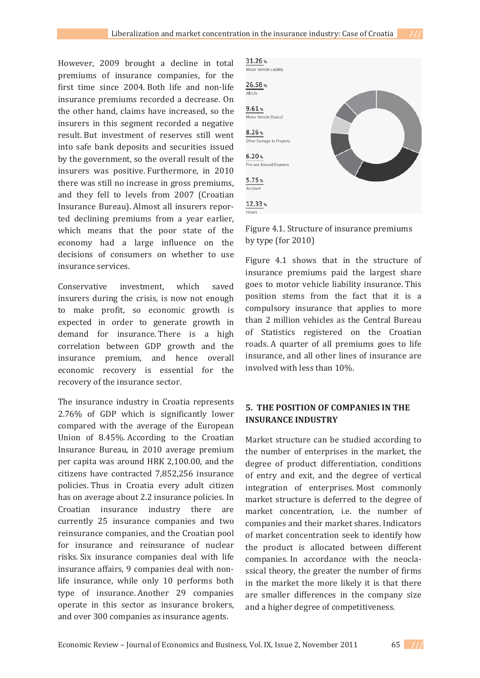However, 2009 brought a decline in total premiums of insurance companies, for the first time since 2004. Both life and non-life insurance premiums recorded a decrease. On the other hand, claims have increased, so the insurers in this segment recorded a negative result. But investment of reserves still went into safe bank deposits and securities issued by the government, so the overall result of the insurers was positive. Furthermore, in 2010 there was still no increase in gross premiums, and they fell to levels from 2007 (Croatian Insurance Bureau). Almost all insurers reported declining premiums from a year earlier. which means that the poor state of the economy had a large influence on the decisions of consumers on whether to use insurance services.

Conservative investment, which saved insurers during the crisis, is now not enough to make profit, so economic growth is expected in order to generate growth in demand for insurance. There is a high correlation between GDP growth and the insurance premium, and hence overall economic recovery is essential for the recovery of the insurance sector.

The insurance industry in Croatia represents 2.76% of GDP which is significantly lower compared with the average of the European Union of 8.45%. According to the Croatian Insurance Bureau, in 2010 average premium per capita was around HRK 2,100.00, and the citizens have contracted 7,852,256 insurance policies. Thus in Croatia every adult citizen has on average about 2.2 insurance policies. In Croatian insurance industry there are currently 25 insurance companies and two reinsurance companies, and the Croatian pool for insurance and reinsurance of nuclear risks. Six insurance companies deal with life insurance affairs. 9 companies deal with nonlife insurance, while only 10 performs both type of insurance. Another 29 companies operate in this sector as insurance brokers, and over 300 companies as insurance agents.



Figure 4.1. Structure of insurance premiums by type (for  $2010$ )

Figure 4.1 shows that in the structure of insurance premiums paid the largest share goes to motor vehicle liability insurance. This position stems from the fact that it is a compulsory insurance that applies to more than 2 million vehicles as the Central Bureau of Statistics registered on the Croatian roads. A quarter of all premiums goes to life insurance, and all other lines of insurance are involved with less than 10%.

### **5.THE POSITION OF COMPANIES IN THE INSURANCE INDUSTRY**

Market structure can be studied according to the number of enterprises in the market, the degree of product differentiation, conditions of entry and exit, and the degree of vertical integration of enterprises. Most commonly market structure is deferred to the degree of market concentration, i.e. the number of companies and their market shares. Indicators of market concentration seek to identify how the product is allocated between different companies. In accordance with the neoclassical theory, the greater the number of firms in the market the more likely it is that there are smaller differences in the company size and a higher degree of competitiveness.

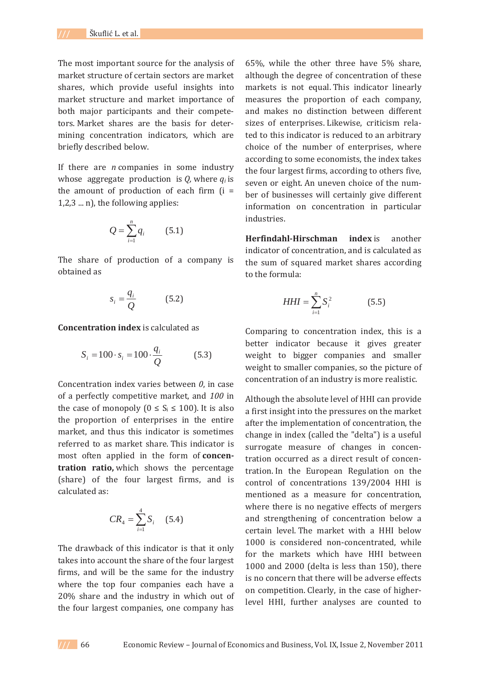The most important source for the analysis of market structure of certain sectors are market shares, which provide useful insights into market structure and market importance of both major participants and their competetors. Market shares are the basis for determining concentration indicators, which are briefly described below.

If there are *n* companies in some industry whose aggregate production is  $Q$ , where  $q_i$  is the amount of production of each firm  $(i =$  $(1,2,3 \dots n)$ , the following applies:

$$
Q = \sum_{i=1}^{n} q_i \qquad (5.1)
$$

The share of production of a company is obtained as

$$
s_i = \frac{q_i}{Q} \tag{5.2}
$$

**Concentration index** is calculated as

$$
S_i = 100 \cdot s_i = 100 \cdot \frac{q_i}{Q} \tag{5.3}
$$

Concentration index varies between  $0$ , in case of a perfectly competitive market, and 100 in the case of monopoly ( $0 \le S_i \le 100$ ). It is also the proportion of enterprises in the entire market, and thus this indicator is sometimes referred to as market share. This indicator is most often applied in the form of **concentration ratio,** (share) of the four largest firms, and is calculated as:

$$
CR_4 = \sum_{i=1}^{4} S_i \quad (5.4)
$$

The drawback of this indicator is that it only takes into account the share of the four largest firms, and will be the same for the industry where the top four companies each have a 20% share and the industry in which out of the four largest companies, one company has

 $65\%$ , while the other three have  $5\%$  share, although the degree of concentration of these markets is not equal. This indicator linearly measures the proportion of each company, and makes no distinction between different sizes of enterprises. Likewise, criticism related to this indicator is reduced to an arbitrary choice of the number of enterprises, where according to some economists, the index takes the four largest firms, according to others five, seven or eight. An uneven choice of the number of businesses will certainly give different information on concentration in particular industries.

**Herfindahl-Hirschman index** is another indicator of concentration, and is calculated as the sum of squared market shares according to the formula:

$$
HHI = \sum_{i=1}^{n} S_i^2 \tag{5.5}
$$

Comparing to concentration index, this is a better indicator because it gives greater weight to bigger companies and smaller weight to smaller companies, so the picture of concentration of an industry is more realistic.

Although the absolute level of HHI can provide a first insight into the pressures on the market after the implementation of concentration, the change in index (called the "delta") is a useful surrogate measure of changes in concentration occurred as a direct result of concentration. In the European Regulation on the control of concentrations 139/2004 HHI is mentioned as a measure for concentration. where there is no negative effects of mergers and strengthening of concentration below a certain level. The market with a HHI below 1000 is considered non-concentrated, while for the markets which have HHI between  $1000$  and  $2000$  (delta is less than  $150$ ), there is no concern that there will be adverse effects on competition. Clearly, in the case of higherlevel HHI, further analyses are counted to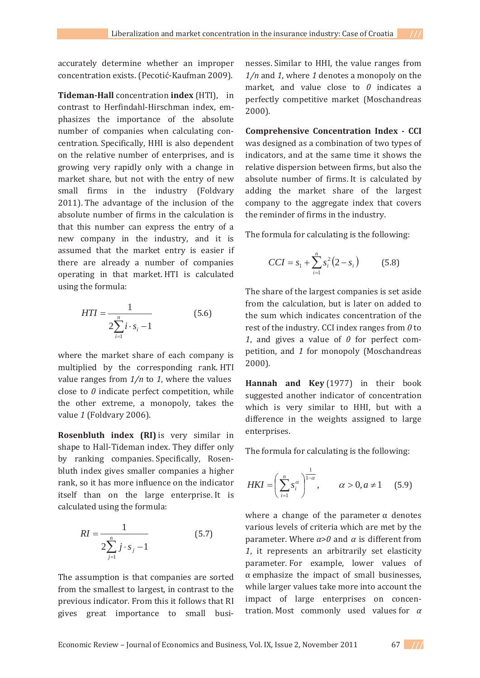accurately determine whether an improper concentration exists. (Pecotić-Kaufman 2009).

**Tideman-Hall** concentration **index** (HTI), in contrast to Herfindahl-Hirschman index, emphasizes the importance of the absolute number of companies when calculating concentration. Specifically, HHI is also dependent on the relative number of enterprises, and is growing very rapidly only with a change in market share, but not with the entry of new small firms in the industry (Foldvary 2011). The advantage of the inclusion of the absolute number of firms in the calculation is that this number can express the entry of a new company in the industry, and it is assumed that the market entry is easier if there are already a number of companies operating in that market. HTI is calculated using the formula:

$$
HTI = \frac{1}{2\sum_{i=1}^{n} i \cdot s_i - 1}
$$
 (5.6)

where the market share of each company is multiplied by the corresponding rank. HTI value ranges from  $1/n$  to 1, where the values close to  $\theta$  indicate perfect competition, while the other extreme, a monopoly, takes the value 1 (Foldvary 2006).

**Rosenbluth index (RI)** shape to Hall-Tideman index. They differ only by ranking companies. Specifically, Rosenbluth index gives smaller companies a higher rank, so it has more influence on the indicator itself than on the large enterprise. It is calculated using the formula:

$$
RI = \frac{1}{2\sum_{j=1}^{n} j \cdot s_j - 1}
$$
 (5.7)

The assumption is that companies are sorted from the smallest to largest, in contrast to the previous indicator. From this it follows that RI gives great importance to small busi-

nesses. Similar to HHI, the value ranges from  $1/n$  and 1, where 1 denotes a monopoly on the market, and value close to  $0$  indicates a perfectly competitive market (Moschandreas  $2000$ ).

**Comprehensive Concentration Index Ǧ CCI** was designed as a combination of two types of indicators, and at the same time it shows the relative dispersion between firms, but also the absolute number of firms. It is calculated by adding the market share of the largest company to the aggregate index that covers the reminder of firms in the industry.

The formula for calculating is the following:

$$
CCI = s_1 + \sum_{i=1}^{n} s_i^2 (2 - s_i)
$$
 (5.8)

The share of the largest companies is set aside from the calculation, but is later on added to the sum which indicates concentration of the rest of the industry. CCI index ranges from  $\theta$  to 1, and gives a value of  $\theta$  for perfect competition, and 1 for monopoly (Moschandreas  $2000$ ).

**Hannah and Key** (1977) in their book suggested another indicator of concentration which is very similar to HHI, but with a difference in the weights assigned to large enterprises.

The formula for calculating is the following:

$$
HKI = \left(\sum_{i=1}^{n} s_i^{\alpha}\right)^{\frac{1}{1-\alpha}}, \qquad \alpha > 0, a \neq 1 \quad (5.9)
$$

where a change of the parameter  $\alpha$  denotes various levels of criteria which are met by the parameter. Where  $\alpha > 0$  and  $\alpha$  is different from 1. it represents an arbitrarily set elasticity parameter. For example, lower values of  $\alpha$  emphasize the impact of small businesses, while larger values take more into account the impact of large enterprises on concentration. Most commonly used values for  $\alpha$ 

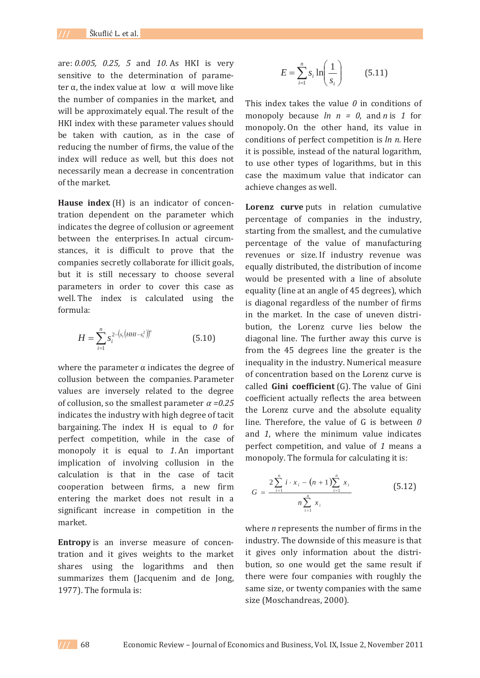are: 0.005, 0.25, 5 and 10. As HKI is very sensitive to the determination of parameter  $\alpha$ , the index value at low  $\alpha$  will move like the number of companies in the market, and will be approximately equal. The result of the HKI index with these parameter values should be taken with caution, as in the case of reducing the number of firms, the value of the index will reduce as well, but this does not necessarily mean a decrease in concentration of the market.

**Hause index**  $(H)$  is an indicator of concentration dependent on the parameter which indicates the degree of collusion or agreement between the enterprises. In actual circumstances, it is difficult to prove that the companies secretly collaborate for illicit goals, but it is still necessary to choose several parameters in order to cover this case as well. The index is calculated using the formula:

$$
H = \sum_{i=1}^{n} s_i^{2 - (s_i(HHI - s_i^2))^2}
$$
(5.10)

where the parameter  $\alpha$  indicates the degree of collusion between the companies. Parameter values are inversely related to the degree of collusion, so the smallest parameter  $\alpha = 0.25$ indicates the industry with high degree of tacit bargaining. The index  $H$  is equal to  $0$  for perfect competition, while in the case of monopoly it is equal to 1. An important implication of involving collusion in the calculation is that in the case of tacit cooperation between firms, a new firm entering the market does not result in a significant increase in competition in the market.

**Entropy** is an inverse measure of concentration and it gives weights to the market shares using the logarithms and then summarizes them (Jacquenim and de Jong, 1977). The formula is:

$$
E = \sum_{i=1}^{n} s_i \ln\left(\frac{1}{s_i}\right) \tag{5.11}
$$

This index takes the value  $\theta$  in conditions of monopoly because  $ln n = 0$ , and *n* is 1 for monopoly. On the other hand, its value in *conditions of perfect competition is ln n. Here* it is possible, instead of the natural logarithm, to use other types of logarithms, but in this case the maximum value that indicator can achieve changes as well.

**Lorenz curve** percentage of companies in the industry, starting from the smallest, and the cumulative percentage of the value of manufacturing revenues or size. If industry revenue was equally distributed, the distribution of income would be presented with a line of absolute equality (line at an angle of 45 degrees), which is diagonal regardless of the number of firms in the market. In the case of uneven distribution, the Lorenz curve lies below the diagonal line. The further away this curve is from the 45 degrees line the greater is the inequality in the industry. Numerical measure of concentration based on the Lorenz curve is called **Gini** coefficient (G). The value of Gini coefficient actually reflects the area between the Lorenz curve and the absolute equality line. Therefore, the value of  $G$  is between  $O$ and 1, where the minimum value indicates perfect competition, and value of 1 means a monopoly. The formula for calculating it is:

$$
G = \frac{2\sum_{i=1}^{n} i \cdot x_i - (n+1)\sum_{i=1}^{n} x_i}{n\sum_{i=1}^{n} x_i}
$$
(5.12)

*where n* represents the number of firms in the industry. The downside of this measure is that it gives only information about the distribution, so one would get the same result if there were four companies with roughly the same size, or twenty companies with the same size (Moschandreas, 2000).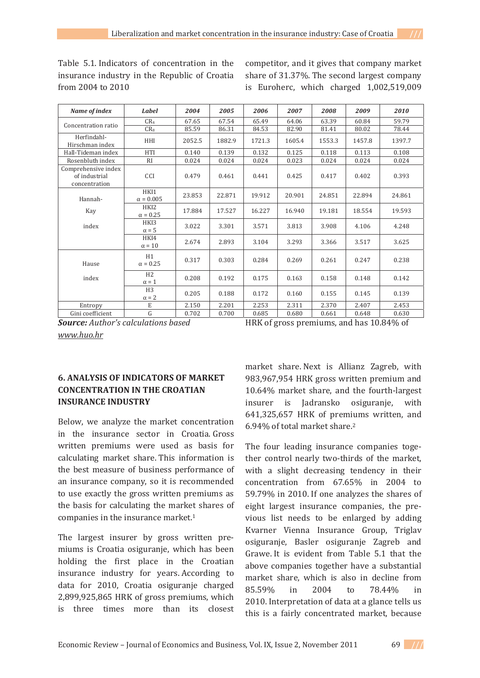Table 5.1. Indicators of concentration in the insurance industry in the Republic of Croatia from 2004 to 2010

competitor, and it gives that company market share of 31.37%. The second largest company is Euroherc, which charged 1,002,519,009

| Name of index                                         | Label                          | 2004   | 2005   | 2006   | 2007   | 2008   | 2009   | 2010   |
|-------------------------------------------------------|--------------------------------|--------|--------|--------|--------|--------|--------|--------|
| Concentration ratio                                   | CR <sub>4</sub>                | 67.65  | 67.54  | 65.49  | 64.06  | 63.39  | 60.84  | 59.79  |
|                                                       | $CR_8$                         | 85.59  | 86.31  | 84.53  | 82.90  | 81.41  | 80.02  | 78.44  |
| Herfindahl-<br>Hirschman index                        | HHI                            | 2052.5 | 1882.9 | 1721.3 | 1605.4 | 1553.3 | 1457.8 | 1397.7 |
| Hall-Tideman index                                    | HTI                            | 0.140  | 0.139  | 0.132  | 0.125  | 0.118  | 0.113  | 0.108  |
| Rosenbluth index                                      | RI                             | 0.024  | 0.024  | 0.024  | 0.023  | 0.024  | 0.024  | 0.024  |
| Comprehensive index<br>of industrial<br>concentration | CCI                            | 0.479  | 0.461  | 0.441  | 0.425  | 0.417  | 0.402  | 0.393  |
| Hannah-<br>Kay                                        | HKI1<br>$\alpha = 0.005$       | 23.853 | 22.871 | 19.912 | 20.901 | 24.851 | 22.894 | 24.861 |
|                                                       | HKI2<br>$\alpha = 0.25$        | 17.884 | 17.527 | 16.227 | 16.940 | 19.181 | 18.554 | 19.593 |
| index                                                 | HKI3<br>$\alpha = 5$           | 3.022  | 3.301  | 3.571  | 3.813  | 3.908  | 4.106  | 4.248  |
|                                                       | HKI4<br>$\alpha = 10$          | 2.674  | 2.893  | 3.104  | 3.293  | 3.366  | 3.517  | 3.625  |
| Hause<br>index                                        | H1<br>$\alpha = 0.25$          | 0.317  | 0.303  | 0.284  | 0.269  | 0.261  | 0.247  | 0.238  |
|                                                       | H2<br>$\alpha = 1$             | 0.208  | 0.192  | 0.175  | 0.163  | 0.158  | 0.148  | 0.142  |
|                                                       | H <sub>3</sub><br>$\alpha = 2$ | 0.205  | 0.188  | 0.172  | 0.160  | 0.155  | 0.145  | 0.139  |
| Entropy                                               | E                              | 2.150  | 2.201  | 2.253  | 2.311  | 2.370  | 2.407  | 2.453  |
| Gini coefficient                                      | G                              | 0.702  | 0.700  | 0.685  | 0.680  | 0.661  | 0.648  | 0.630  |

*Source: Author's calculations based*

HRK of gross premiums, and has 10.84% of

*www.huo.hr*

# **6. ANALYSIS OF INDICATORS OF MARKET CONCENTRATION IN THE CROATIAN INSURANCE INDUSTRY**

Below, we analyze the market concentration in the insurance sector in Croatia. Gross written premiums were used as basis for calculating market share. This information is the best measure of business performance of an insurance company, so it is recommended to use exactly the gross written premiums as the basis for calculating the market shares of companies in the insurance market.<sup>1</sup>

The largest insurer by gross written premiums is Croatia osiguranje, which has been holding the first place in the Croatian insurance industry for years. According to data for 2010, Croatia osiguranje charged 2,899,925,865 HRK of gross premiums, which is three times more than its closest

market share. Next is Allianz Zagreb, with 983,967,954 HRK gross written premium and  $10.64\%$  market share, and the fourth-largest insurer is Jadransko osiguranje, with 641,325,657 HRK of premiums written, and 6.94% of total market share.<sup>2</sup>

The four leading insurance companies together control nearly two-thirds of the market. with a slight decreasing tendency in their concentration from 67.65% in 2004 to 59.79% in 2010. If one analyzes the shares of eight largest insurance companies, the previous list needs to be enlarged by adding Kvarner Vienna Insurance Group, Triglav osiguranje, Basler osiguranje Zagreb and Grawe. It is evident from Table 5.1 that the above companies together have a substantial market share, which is also in decline from  $85.59\%$  in  $2004$  to  $78.44\%$  in 2010. Interpretation of data at a glance tells us this is a fairly concentrated market, because

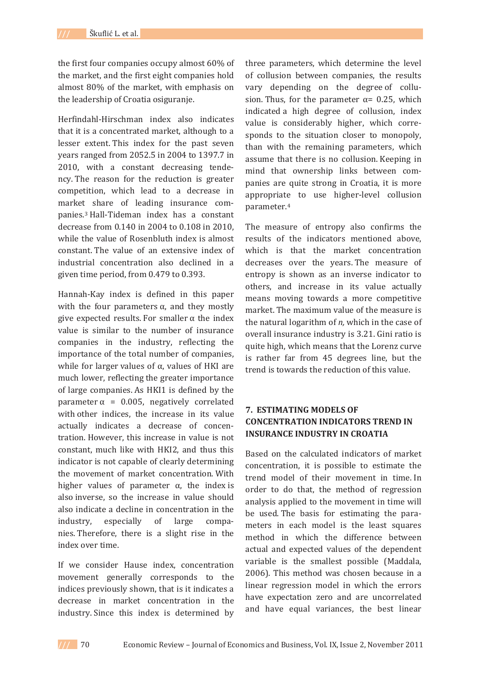the first four companies occupy almost 60% of the market, and the first eight companies hold almost 80% of the market, with emphasis on the leadership of Croatia osiguranie.

Herfindahl-Hirschman index also indicates that it is a concentrated market, although to a lesser extent. This index for the past seven years ranged from 2052.5 in 2004 to 1397.7 in 2010, with a constant decreasing tendency. The reason for the reduction is greater competition, which lead to a decrease in market share of leading insurance companies.<sup>3</sup> Hall-Tideman index has a constant  $decrease from 0.140 in 2004 to 0.108 in 2010.$ while the value of Rosenbluth index is almost constant. The value of an extensive index of industrial concentration also declined in a given time period, from 0.479 to 0.393.

Hannah-Kay index is defined in this paper with the four parameters  $\alpha$ , and they mostly give expected results. For smaller  $\alpha$  the index value is similar to the number of insurance companies in the industry, reflecting the importance of the total number of companies, while for larger values of  $\alpha$ , values of HKI are much lower, reflecting the greater importance of large companies. As HKI1 is defined by the parameter  $\alpha$  = 0.005, negatively correlated with other indices, the increase in its value actually indicates a decrease of concentration. However, this increase in value is not constant, much like with HKI2, and thus this indicator is not capable of clearly determining the movement of market concentration. With higher values of parameter  $\alpha$ , the index is also inverse, so the increase in value should also indicate a decline in concentration in the industry, especially of large companies. Therefore, there is a slight rise in the index over time.

If we consider Hause index, concentration movement generally corresponds to the indices previously shown, that is it indicates a decrease in market concentration in the industry. Since this index is determined by

three parameters, which determine the level of collusion between companies, the results vary depending on the degree of collusion. Thus, for the parameter  $\alpha$  = 0.25, which indicated a high degree of collusion, index value is considerably higher, which corresponds to the situation closer to monopoly, than with the remaining parameters, which assume that there is no collusion. Keeping in mind that ownership links between companies are quite strong in Croatia, it is more appropriate to use higher-level collusion parameter.4

The measure of entropy also confirms the results of the indicators mentioned above, which is that the market concentration decreases over the years. The measure of entropy is shown as an inverse indicator to others, and increase in its value actually means moving towards a more competitive market. The maximum value of the measure is the natural logarithm of *n*, which in the case of overall insurance industry is 3.21. Gini ratio is quite high, which means that the Lorenz curve is rather far from 45 degrees line, but the trend is towards the reduction of this value.

## **7.ESTIMATING MODELS OF CONCENTRATION INDICATORS TREND IN INSURANCE INDUSTRY IN CROATIA**

Based on the calculated indicators of market concentration, it is possible to estimate the trend model of their movement in time. In order to do that, the method of regression analysis applied to the movement in time will be used. The basis for estimating the parameters in each model is the least squares method in which the difference between actual and expected values of the dependent variable is the smallest possible (Maddala, 2006). This method was chosen because in a linear regression model in which the errors have expectation zero and are uncorrelated and have equal variances, the best linear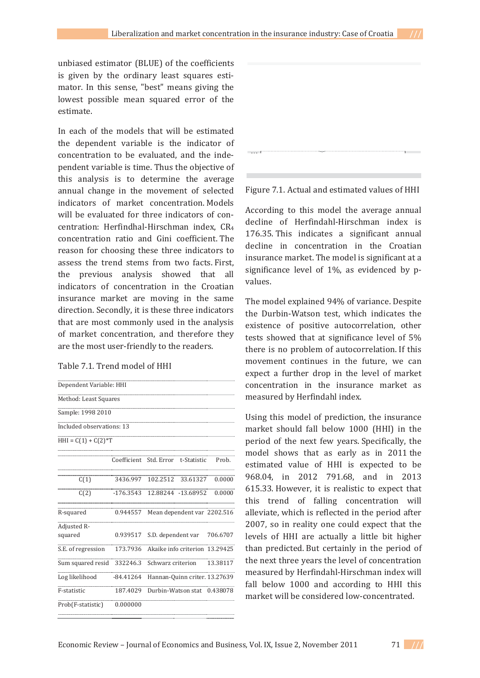unbiased estimator (BLUE) of the coefficients is given by the ordinary least squares estimator. In this sense, "best" means giving the lowest possible mean squared error of the estimate.

In each of the models that will be estimated the dependent variable is the indicator of concentration to be evaluated, and the independent variable is time. Thus the objective of this analysis is to determine the average annual change in the movement of selected indicators of market concentration. Models will be evaluated for three indicators of concentration: Herfindhal-Hirschman index. CR4 concentration ratio and Gini coefficient. The reason for choosing these three indicators to assess the trend stems from two facts. First, the previous analysis showed that all indicators of concentration in the Croatian insurance market are moving in the same direction. Secondly, it is these three indicators that are most commonly used in the analysis of market concentration, and therefore they are the most user-friendly to the readers.

#### Table 7.1. Trend model of HHI





#### Figure 7.1. Actual and estimated values of HHI

According to this model the average annual decline of Herfindahl-Hirschman index is 176.35. This indicates a significant annual decline in concentration in the Croatian insurance market. The model is significant at a significance level of 1%, as evidenced by pvalues.

The model explained 94% of variance. Despite the Durbin-Watson test, which indicates the existence of positive autocorrelation, other tests showed that at significance level of 5% there is no problem of autocorrelation. If this movement continues in the future, we can expect a further drop in the level of market concentration in the insurance market as measured by Herfindahl index.

Using this model of prediction, the insurance market should fall below 1000 (HHI) in the period of the next few years. Specifically, the model shows that as early as in 2011 the estimated value of HHI is expected to be 968.04, in 2012 791.68, and in 2013 615.33. However, it is realistic to expect that this trend of falling concentration will alleviate, which is reflected in the period after 2007, so in reality one could expect that the levels of HHI are actually a little bit higher than predicted. But certainly in the period of the next three years the level of concentration measured by Herfindahl-Hirschman index will fall below 1000 and according to HHI this market will be considered low-concentrated.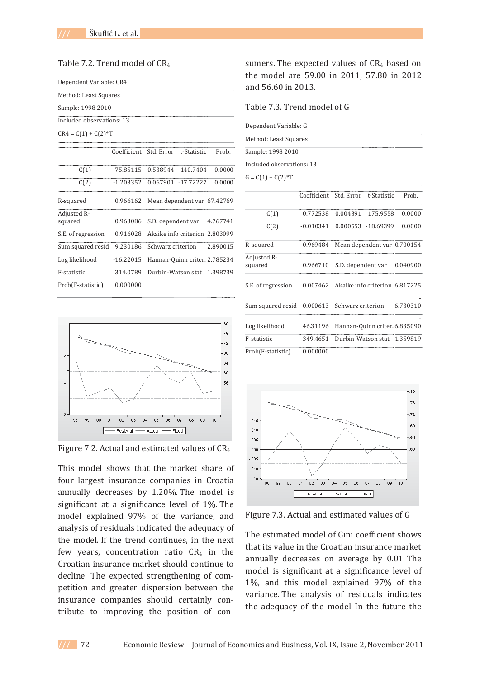### Table 7.2. Trend model of CR<sub>4</sub>

| Dependent Variable: CR4   |             |                                |                               |          |
|---------------------------|-------------|--------------------------------|-------------------------------|----------|
| Method: Least Squares     |             |                                |                               |          |
| Sample: 1998 2010         |             |                                |                               |          |
| Included observations: 13 |             |                                |                               |          |
| $CR4 = C(1) + C(2)*T$     |             |                                |                               |          |
|                           | Coefficient | Std. Error                     | t-Statistic                   | Prob.    |
| C(1)                      | 75.85115    | 0.538944                       | 140.7404                      | 0.0000   |
| C(2)                      | $-1.203352$ |                                | 0.067901 -17.72227            | 0.0000   |
| R-squared                 | 0.966162    |                                | Mean dependent var 67.42769   |          |
| Adjusted R-<br>squared    | 0.963086    | S.D. dependent var             |                               | 4.767741 |
| S.E. of regression        | 0.916028    | Akaike info criterion 2.803099 |                               |          |
| Sum squared resid         | 9.230186    | Schwarz criterion              |                               | 2.890015 |
| Log likelihood            | $-16.22015$ |                                | Hannan-Quinn criter. 2.785234 |          |
| F-statistic               | 314.0789    | Durbin-Watson stat             |                               | 1.398739 |
| Prob(F-statistic)         | 0.000000    |                                |                               |          |



Figure 7.2. Actual and estimated values of CR<sub>4</sub>

This model shows that the market share of four largest insurance companies in Croatia annually decreases by 1.20%. The model is significant at a significance level of 1%. The model explained 97% of the variance, and analysis of residuals indicated the adequacy of the model. If the trend continues, in the next few vears, concentration ratio CR4 in the Croatian insurance market should continue to decline. The expected strengthening of competition and greater dispersion between the insurance companies should certainly contribute to improving the position of consumers. The expected values of  $CR<sub>4</sub>$  based on the model are 59.00 in 2011, 57.80 in 2012 and  $56.60$  in 2013.

Table 7.3. Trend model of G

| Dependent Variable: G     |                        |                                      |                                |          |
|---------------------------|------------------------|--------------------------------------|--------------------------------|----------|
| Method: Least Squares     |                        |                                      |                                |          |
| Sample: 1998 2010         |                        |                                      |                                |          |
| Included observations: 13 |                        |                                      |                                |          |
| $G = C(1) + C(2)*T$       |                        |                                      |                                |          |
|                           | Coefficient Std. Error |                                      | t-Statistic                    | Prob.    |
| C(1)                      |                        | 0.772538 0.004391                    | 175.9558                       | 0.0000   |
| C(2)                      | $-0.010341$            |                                      | 0.000553 -18.69399             | 0.0000   |
| R-squared                 | 0.969484               |                                      | Mean dependent var 0.700154    |          |
| Adjusted R-<br>squared    | 0.966710               |                                      | S.D. dependent var             | 0.040900 |
| S.E. of regression        | 0.007462               |                                      | Akaike info criterion 6.817225 |          |
| Sum squared resid         | 0.000613               |                                      | Schwarz criterion              | 6.730310 |
| Log likelihood            | 46.31196               |                                      | Hannan-Quinn criter. 6.835090  |          |
| F-statistic               |                        | 349.4651 Durbin-Watson stat 1.359819 |                                |          |
| Prob(F-statistic)         | 0.000000               |                                      |                                |          |



Figure 7.3. Actual and estimated values of G

The estimated model of Gini coefficient shows that its value in the Croatian insurance market annually decreases on average by 0.01. The model is significant at a significance level of 1%, and this model explained 97% of the variance. The analysis of residuals indicates the adequacy of the model. In the future the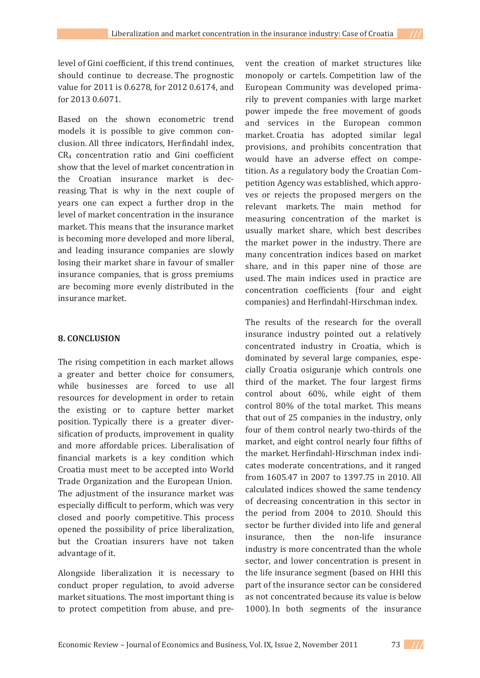level of Gini coefficient, if this trend continues, should continue to decrease. The prognostic value for 2011 is 0.6278, for 2012 0.6174, and  $for 20130.6071.$ 

Based on the shown econometric trend models it is possible to give common conclusion. All three indicators, Herfindahl index, CR<sub>4</sub> concentration ratio and Gini coefficient show that the level of market concentration in the Croatian insurance market is decreasing. That is why in the next couple of years one can expect a further drop in the level of market concentration in the insurance market. This means that the insurance market is becoming more developed and more liberal, and leading insurance companies are slowly losing their market share in favour of smaller insurance companies, that is gross premiums are becoming more evenly distributed in the insurance market.

### **8. CONCLUSION**

The rising competition in each market allows a greater and better choice for consumers, while businesses are forced to use all resources for development in order to retain the existing or to capture better market position. Typically there is a greater diversification of products, improvement in quality and more affordable prices. Liberalisation of financial markets is a key condition which Croatia must meet to be accepted into World Trade Organization and the European Union. The adjustment of the insurance market was especially difficult to perform, which was very closed and poorly competitive. This process opened the possibility of price liberalization, but the Croatian insurers have not taken advantage of it.

Alongside liberalization it is necessary to conduct proper regulation, to avoid adverse market situations. The most important thing is to protect competition from abuse, and pre-

vent the creation of market structures like monopoly or cartels. Competition law of the European Community was developed primarily to prevent companies with large market power impede the free movement of goods and services in the European common market. Croatia has adopted similar legal provisions, and prohibits concentration that would have an adverse effect on competition. As a regulatory body the Croatian Competition Agency was established, which approves or rejects the proposed mergers on the relevant markets. The main method for measuring concentration of the market is usually market share, which best describes the market power in the industry. There are many concentration indices based on market share, and in this paper nine of those are used. The main indices used in practice are concentration coefficients (four and eight companies) and Herfindahl-Hirschman index.

The results of the research for the overall insurance industry pointed out a relatively concentrated industry in Croatia, which is dominated by several large companies, especially Croatia osiguranje which controls one third of the market. The four largest firms control about 60%, while eight of them control 80% of the total market. This means that out of 25 companies in the industry, only four of them control nearly two-thirds of the market, and eight control nearly four fifths of the market. Herfindahl-Hirschman index indicates moderate concentrations, and it ranged from 1605.47 in 2007 to 1397.75 in 2010. All calculated indices showed the same tendency of decreasing concentration in this sector in the period from 2004 to 2010. Should this sector be further divided into life and general insurance, then the non-life insurance industry is more concentrated than the whole sector, and lower concentration is present in the life insurance segment (based on HHI this part of the insurance sector can be considered as not concentrated because its value is below 1000). In both segments of the insurance

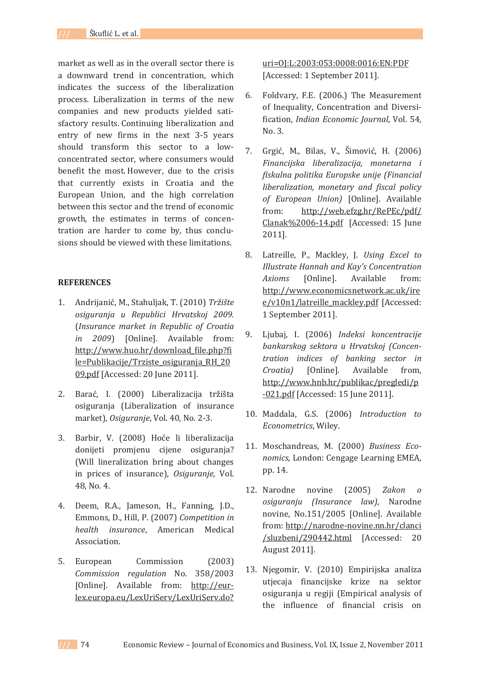market as well as in the overall sector there is a downward trend in concentration, which indicates the success of the liberalization process. Liberalization in terms of the new companies and new products vielded satisfactory results. Continuing liberalization and entry of new firms in the next 3-5 years should transform this sector to a lowconcentrated sector, where consumers would benefit the most. However, due to the crisis that currently exists in Croatia and the European Union, and the high correlation between this sector and the trend of economic growth, the estimates in terms of concentration are harder to come by, thus conclusions should be viewed with these limitations.

### **REFERENCES**

- 1. Andrijanić, M., Stahuljak, T. (2010) Tržište *osiguranja u Republici Hrvatskoj 2009.* ȋ*Insurance market in Republic of Croatia in 2009*) [Online]. Available from: http://www.huo.hr/download file.php?fi le=Publikacije/Trziste osiguranja RH 20 09.pdf [Accessed: 20 June 2011].
- 2. Barać, I. (2000) Liberalizacija tržišta osiguranja (Liberalization of insurance market), Osiguranje, Vol. 40, No. 2-3.
- 3. Barbir, V. (2008) Hoće li liberalizacija donijeti promjenu cijene osiguranja? (Will lineralization bring about changes in prices of insurance), *Osiguranje*, Vol. 48. No. 4.
- 4. Deem, R.A., Jameson, H., Fanning, J.D., Emmons, D., Hill, P. (2007) Competition in *health insurance*, American Medical Association.
- 5. European Commission (2003) *Commission regulation* No. 358/2003 [Online]. Available from: http://eurlex.europa.eu/LexUriServ/LexUriServ.do?

uri=0J:L:2003:053:0008:0016:EN:PDF [Accessed: 1 September 2011].

- 6. Foldvary, F.E. (2006.) The Measurement of Inequality, Concentration and Diversi*fication, Indian Economic Journal*, Vol. 54, No. 3.
- 7. Grgić, M., Bilas, V., Šimović, H. (2006) *Financijska liberalizacija, monetarna i fiskalna politika Europske unije (Financial liberalization, monetary and fiscal policy*  $of$  *European Union*) [Online]. Available from: http://web.efzg.hr/RePEc/pdf/ Clanak%2006-14.pdf [Accessed: 15 June  $2011$ ].
- 8. Latreille, P., Mackley, J. Using *Excel to Illustrate Hannah and Kay's Concentration Axioms* [Online]. Available from: http://www.economicsnetwork.ac.uk/ire e/v10n1/latreille mackley.pdf [Accessed: 1 September 2011].
- 9. Ljubaj, I. (2006) *Indeksi koncentracije bankarskog sektora u Hrvatskoj (ConcenǦ tration indices of banking sector in Croatia*) [Online]. Available from, http://www.hnb.hr/publikac/pregledi/p -021.pdf [Accessed: 15 June 2011].
- 10. Maddala, G.S. (2006) Introduction to *Econometrics*, Wiley.
- 11. Moschandreas, M. (2000) *Business Economics*, London: Cengage Learning EMEA, pp. 14.
- 12. Narodne novine (2005) *Zakon ο osiguranju (Insurance law)*ǡ novine, No.151/2005 [Online]. Available from: http://narodne-novine.nn.hr/clanci /sluzbeni/290442.html [Accessed: 20 August 2011].
- 13. Njegomir, V. (2010) Empirijska analiza utjecaja financijske krize na sektor osiguranja u regiji (Empirical analysis of the influence of financial crisis on